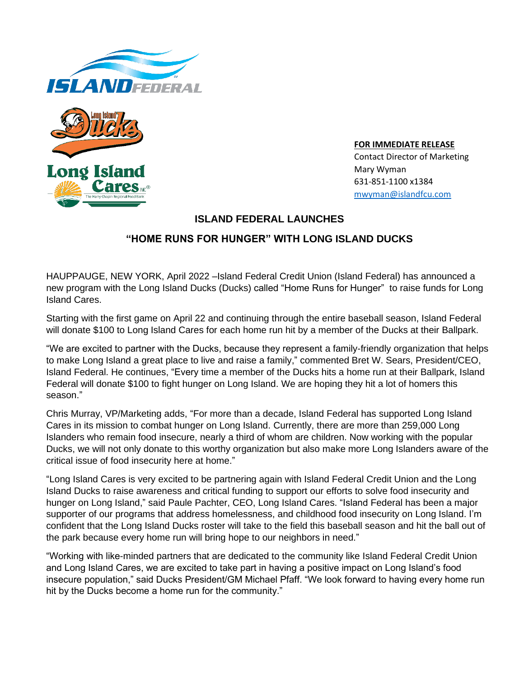



**FOR IMMEDIATE RELEASE**  Contact Director of Marketing Mary Wyman 631-851-1100 x1384 [mwyman@islandfcu.com](mailto:mwyman@islandfcu.com)

## **ISLAND FEDERAL LAUNCHES**

# **"HOME RUNS FOR HUNGER" WITH LONG ISLAND DUCKS**

HAUPPAUGE, NEW YORK, April 2022 –Island Federal Credit Union (Island Federal) has announced a new program with the Long Island Ducks (Ducks) called "Home Runs for Hunger" to raise funds for Long Island Cares.

Starting with the first game on April 22 and continuing through the entire baseball season, Island Federal will donate \$100 to Long Island Cares for each home run hit by a member of the Ducks at their Ballpark.

"We are excited to partner with the Ducks, because they represent a family-friendly organization that helps to make Long Island a great place to live and raise a family," commented Bret W. Sears, President/CEO, Island Federal. He continues, "Every time a member of the Ducks hits a home run at their Ballpark, Island Federal will donate \$100 to fight hunger on Long Island. We are hoping they hit a lot of homers this season."

Chris Murray, VP/Marketing adds, "For more than a decade, Island Federal has supported Long Island Cares in its mission to combat hunger on Long Island. Currently, there are more than 259,000 Long Islanders who remain food insecure, nearly a third of whom are children. Now working with the popular Ducks, we will not only donate to this worthy organization but also make more Long Islanders aware of the critical issue of food insecurity here at home."

"Long Island Cares is very excited to be partnering again with Island Federal Credit Union and the Long Island Ducks to raise awareness and critical funding to support our efforts to solve food insecurity and hunger on Long Island," said Paule Pachter, CEO, Long Island Cares. "Island Federal has been a major supporter of our programs that address homelessness, and childhood food insecurity on Long Island. I'm confident that the Long Island Ducks roster will take to the field this baseball season and hit the ball out of the park because every home run will bring hope to our neighbors in need."

"Working with like-minded partners that are dedicated to the community like Island Federal Credit Union and Long Island Cares, we are excited to take part in having a positive impact on Long Island's food insecure population," said Ducks President/GM Michael Pfaff. "We look forward to having every home run hit by the Ducks become a home run for the community."